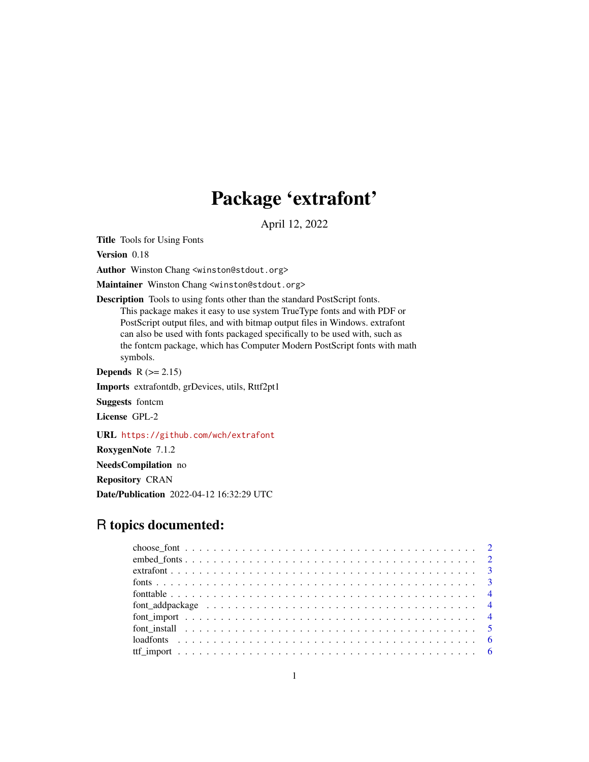## Package 'extrafont'

April 12, 2022

<span id="page-0-0"></span>Title Tools for Using Fonts

Version 0.18

Author Winston Chang <winston@stdout.org>

Maintainer Winston Chang <winston@stdout.org>

Description Tools to using fonts other than the standard PostScript fonts. This package makes it easy to use system TrueType fonts and with PDF or PostScript output files, and with bitmap output files in Windows. extrafont can also be used with fonts packaged specifically to be used with, such as the fontcm package, which has Computer Modern PostScript fonts with math symbols.

Depends  $R (= 2.15)$ 

Imports extrafontdb, grDevices, utils, Rttf2pt1

Suggests fontcm

License GPL-2

URL <https://github.com/wch/extrafont>

RoxygenNote 7.1.2

NeedsCompilation no

Repository CRAN

Date/Publication 2022-04-12 16:32:29 UTC

### R topics documented: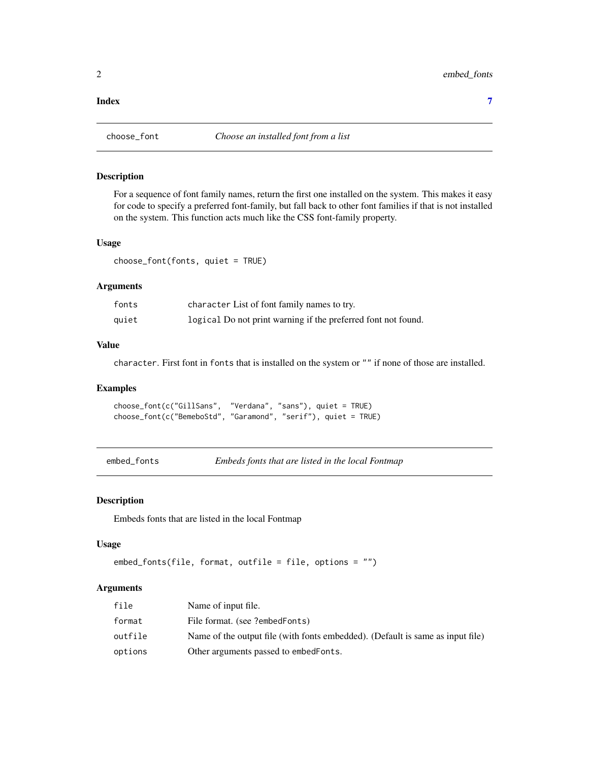#### <span id="page-1-0"></span>**Index** [7](#page-6-0) **7**

#### Description

For a sequence of font family names, return the first one installed on the system. This makes it easy for code to specify a preferred font-family, but fall back to other font families if that is not installed on the system. This function acts much like the CSS font-family property.

#### Usage

choose\_font(fonts, quiet = TRUE)

#### Arguments

| fonts | character List of font family names to try.                   |
|-------|---------------------------------------------------------------|
| quiet | logical Do not print warning if the preferred font not found. |

#### Value

character. First font in fonts that is installed on the system or "" if none of those are installed.

#### Examples

```
choose_font(c("GillSans", "Verdana", "sans"), quiet = TRUE)
choose_font(c("BemeboStd", "Garamond", "serif"), quiet = TRUE)
```
<span id="page-1-1"></span>

|  | embed_fonts |
|--|-------------|
|--|-------------|

Embeds fonts that are listed in the local Fontmap

#### Description

Embeds fonts that are listed in the local Fontmap

#### Usage

```
embed_fonts(file, format, outfile = file, options = "")
```
#### Arguments

| file    | Name of input file.                                                            |
|---------|--------------------------------------------------------------------------------|
| format  | File format. (see ?embedFonts)                                                 |
| outfile | Name of the output file (with fonts embedded). (Default is same as input file) |
| options | Other arguments passed to embedFonts.                                          |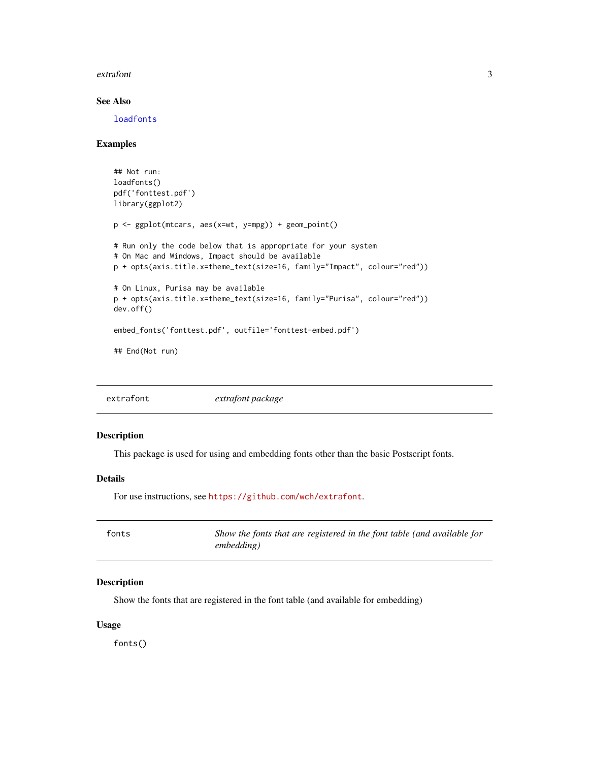#### <span id="page-2-0"></span>extrafont 3

#### See Also

[loadfonts](#page-5-1)

#### Examples

```
## Not run:
loadfonts()
pdf('fonttest.pdf')
library(ggplot2)
p <- ggplot(mtcars, aes(x=wt, y=mpg)) + geom_point()
# Run only the code below that is appropriate for your system
# On Mac and Windows, Impact should be available
p + opts(axis.title.x=theme_text(size=16, family="Impact", colour="red"))
# On Linux, Purisa may be available
p + opts(axis.title.x=theme_text(size=16, family="Purisa", colour="red"))
dev.off()
embed_fonts('fonttest.pdf', outfile='fonttest-embed.pdf')
## End(Not run)
```
extrafont *extrafont package*

#### Description

This package is used for using and embedding fonts other than the basic Postscript fonts.

#### Details

For use instructions, see <https://github.com/wch/extrafont>.

| fonts | Show the fonts that are registered in the font table (and available for |
|-------|-------------------------------------------------------------------------|
|       | embedding)                                                              |

#### Description

Show the fonts that are registered in the font table (and available for embedding)

#### Usage

fonts()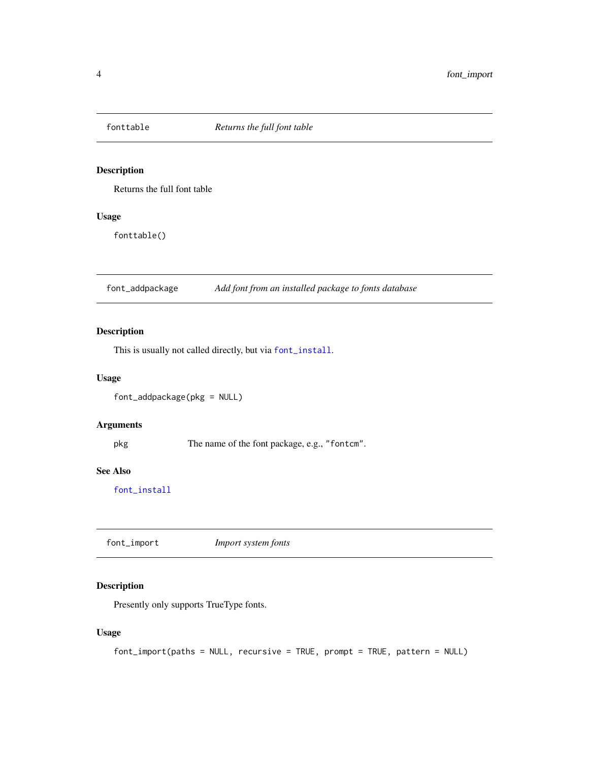<span id="page-3-0"></span>

#### Description

Returns the full font table

#### Usage

fonttable()

font\_addpackage *Add font from an installed package to fonts database*

#### Description

This is usually not called directly, but via [font\\_install](#page-4-1).

#### Usage

```
font_addpackage(pkg = NULL)
```
#### Arguments

pkg The name of the font package, e.g., "fontcm".

#### See Also

[font\\_install](#page-4-1)

font\_import *Import system fonts*

#### Description

Presently only supports TrueType fonts.

#### Usage

font\_import(paths = NULL, recursive = TRUE, prompt = TRUE, pattern = NULL)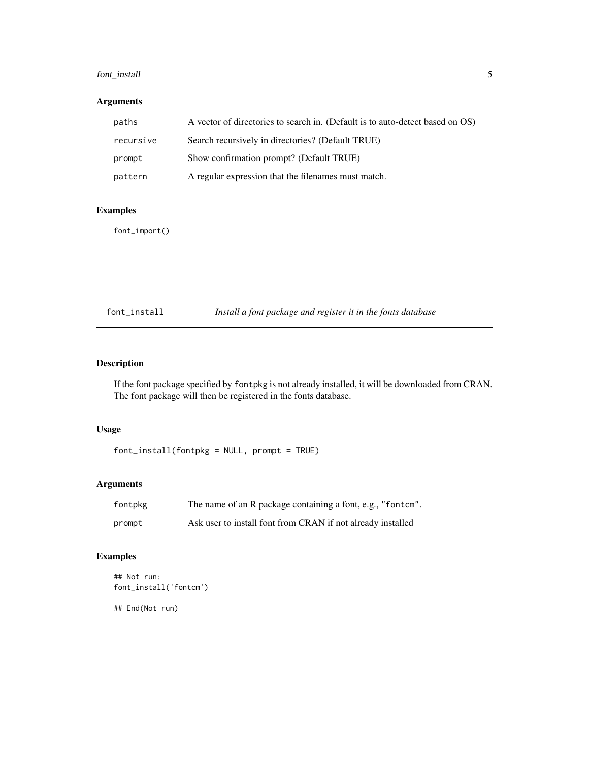#### <span id="page-4-0"></span>font\_install 5

#### Arguments

| paths     | A vector of directories to search in. (Default is to auto-detect based on OS) |
|-----------|-------------------------------------------------------------------------------|
| recursive | Search recursively in directories? (Default TRUE)                             |
| prompt    | Show confirmation prompt? (Default TRUE)                                      |
| pattern   | A regular expression that the filenames must match.                           |

#### Examples

font\_import()

<span id="page-4-1"></span>

| Install a font package and register it in the fonts database<br>font_install |  |
|------------------------------------------------------------------------------|--|
|------------------------------------------------------------------------------|--|

#### Description

If the font package specified by fontpkg is not already installed, it will be downloaded from CRAN. The font package will then be registered in the fonts database.

#### Usage

font\_install(fontpkg = NULL, prompt = TRUE)

#### Arguments

| fontpkg | The name of an R package containing a font, e.g., "fontcm". |
|---------|-------------------------------------------------------------|
| prompt  | Ask user to install font from CRAN if not already installed |

#### Examples

```
## Not run:
font_install('fontcm')
```
## End(Not run)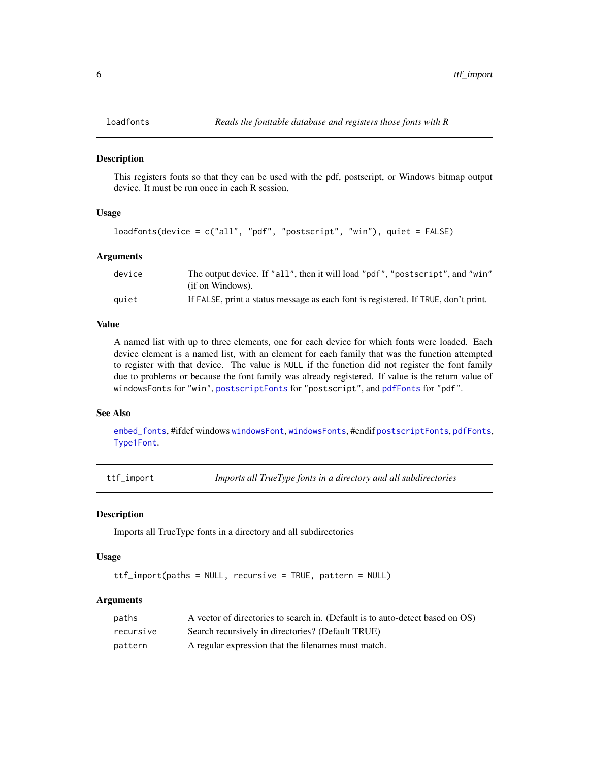<span id="page-5-1"></span><span id="page-5-0"></span>

#### Description

This registers fonts so that they can be used with the pdf, postscript, or Windows bitmap output device. It must be run once in each R session.

#### Usage

```
loadfonts(device = c("all", "pdf", "postscript", "win"), quiet = FALSE)
```
#### Arguments

| device | The output device. If "all", then it will load "pdf", "postscript", and "win"      |
|--------|------------------------------------------------------------------------------------|
|        | (if on Windows).                                                                   |
| auiet  | If FALSE, print a status message as each font is registered. If TRUE, don't print. |

#### Value

A named list with up to three elements, one for each device for which fonts were loaded. Each device element is a named list, with an element for each family that was the function attempted to register with that device. The value is NULL if the function did not register the font family due to problems or because the font family was already registered. If value is the return value of windowsFonts for "win", [postscriptFonts](#page-0-0) for "postscript", and [pdfFonts](#page-0-0) for "pdf".

#### See Also

[embed\\_fonts](#page-1-1), #ifdef windows [windowsFont](#page-0-0), [windowsFonts](#page-0-0), #endif [postscriptFonts](#page-0-0), [pdfFonts](#page-0-0), [Type1Font](#page-0-0).

ttf\_import *Imports all TrueType fonts in a directory and all subdirectories*

#### **Description**

Imports all TrueType fonts in a directory and all subdirectories

#### Usage

ttf\_import(paths = NULL, recursive = TRUE, pattern = NULL)

#### **Arguments**

| paths     | A vector of directories to search in. (Default is to auto-detect based on OS) |
|-----------|-------------------------------------------------------------------------------|
| recursive | Search recursively in directories? (Default TRUE)                             |
| pattern   | A regular expression that the filenames must match.                           |